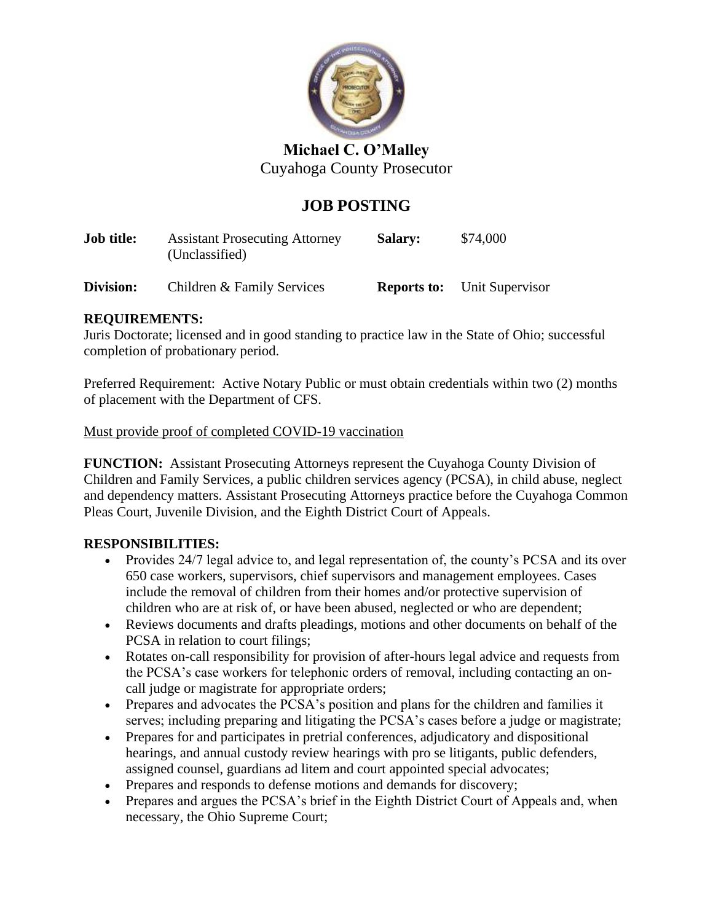

## **Michael C. O'Malley** Cuyahoga County Prosecutor

## **JOB POSTING**

| <b>Job title:</b> | <b>Assistant Prosecuting Attorney</b><br>(Unclassified) | Salary:            | \$74,000        |
|-------------------|---------------------------------------------------------|--------------------|-----------------|
| Division:         | Children & Family Services                              | <b>Reports to:</b> | Unit Supervisor |

#### **REQUIREMENTS:**

Juris Doctorate; licensed and in good standing to practice law in the State of Ohio; successful completion of probationary period.

Preferred Requirement: Active Notary Public or must obtain credentials within two (2) months of placement with the Department of CFS.

#### Must provide proof of completed COVID-19 vaccination

**FUNCTION:** Assistant Prosecuting Attorneys represent the Cuyahoga County Division of Children and Family Services, a public children services agency (PCSA), in child abuse, neglect and dependency matters. Assistant Prosecuting Attorneys practice before the Cuyahoga Common Pleas Court, Juvenile Division, and the Eighth District Court of Appeals.

#### **RESPONSIBILITIES:**

- Provides 24/7 legal advice to, and legal representation of, the county's PCSA and its over 650 case workers, supervisors, chief supervisors and management employees. Cases include the removal of children from their homes and/or protective supervision of children who are at risk of, or have been abused, neglected or who are dependent;
- Reviews documents and drafts pleadings, motions and other documents on behalf of the PCSA in relation to court filings;
- Rotates on-call responsibility for provision of after-hours legal advice and requests from the PCSA's case workers for telephonic orders of removal, including contacting an oncall judge or magistrate for appropriate orders;
- Prepares and advocates the PCSA's position and plans for the children and families it serves; including preparing and litigating the PCSA's cases before a judge or magistrate;
- Prepares for and participates in pretrial conferences, adjudicatory and dispositional hearings, and annual custody review hearings with pro se litigants, public defenders, assigned counsel, guardians ad litem and court appointed special advocates;
- Prepares and responds to defense motions and demands for discovery;
- Prepares and argues the PCSA's brief in the Eighth District Court of Appeals and, when necessary, the Ohio Supreme Court;